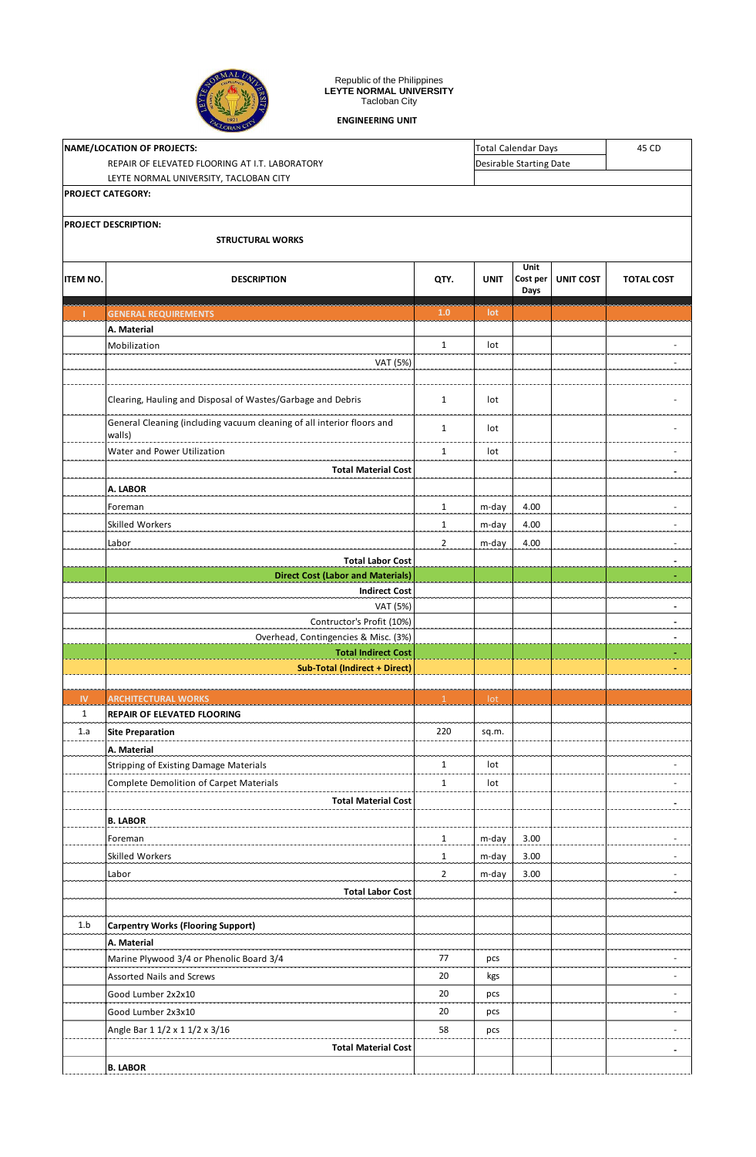

## Republic of the Philippines **LEYTE NORMAL UNIVERSITY** Tacloban City

**ENGINEERING UNIT**

|                 | LOBANCE                                                                          |                |             |                     |                         |                   |  |  |
|-----------------|----------------------------------------------------------------------------------|----------------|-------------|---------------------|-------------------------|-------------------|--|--|
|                 | NAME/LOCATION OF PROJECTS:                                                       |                |             | Total Calendar Days |                         |                   |  |  |
|                 | REPAIR OF ELEVATED FLOORING AT I.T. LABORATORY                                   |                |             |                     | Desirable Starting Date |                   |  |  |
|                 | LEYTE NORMAL UNIVERSITY, TACLOBAN CITY                                           |                |             |                     |                         |                   |  |  |
|                 | <b>PROJECT CATEGORY:</b>                                                         |                |             |                     |                         |                   |  |  |
|                 | <b>PROJECT DESCRIPTION:</b>                                                      |                |             |                     |                         |                   |  |  |
|                 | <b>STRUCTURAL WORKS</b>                                                          |                |             |                     |                         |                   |  |  |
|                 |                                                                                  |                |             | Unit                |                         |                   |  |  |
| <b>ITEM NO.</b> | <b>DESCRIPTION</b>                                                               | QTY.           | <b>UNIT</b> | Cost per            | <b>UNIT COST</b>        | <b>TOTAL COST</b> |  |  |
|                 |                                                                                  |                |             | Days                |                         |                   |  |  |
| T.              | <b>GENERAL REQUIREMENTS</b>                                                      | 1.0            | lot         |                     |                         |                   |  |  |
|                 | A. Material                                                                      |                |             |                     |                         |                   |  |  |
|                 | Mobilization                                                                     | $\mathbf{1}$   | lot         |                     |                         |                   |  |  |
|                 | VAT (5%)                                                                         |                |             |                     |                         |                   |  |  |
|                 |                                                                                  |                |             |                     |                         |                   |  |  |
|                 | Clearing, Hauling and Disposal of Wastes/Garbage and Debris                      | $\mathbf{1}$   | lot         |                     |                         |                   |  |  |
|                 | General Cleaning (including vacuum cleaning of all interior floors and<br>walls) | $\mathbf{1}$   | lot         |                     |                         |                   |  |  |
|                 | Water and Power Utilization                                                      | $\mathbf{1}$   | lot         |                     |                         |                   |  |  |
|                 | <b>Total Material Cost</b>                                                       |                |             |                     |                         |                   |  |  |
|                 | A. LABOR                                                                         |                |             |                     |                         |                   |  |  |
|                 | Foreman                                                                          | $\mathbf{1}$   | m-day       | 4.00                |                         |                   |  |  |
|                 | Skilled Workers                                                                  | $\mathbf{1}$   | m-day       | 4.00                |                         |                   |  |  |
|                 | Labor                                                                            | $\overline{2}$ | m-day       | 4.00                |                         |                   |  |  |
|                 | <b>Total Labor Cost</b>                                                          |                |             |                     |                         |                   |  |  |
|                 | <b>Direct Cost (Labor and Materials)</b>                                         |                |             |                     |                         |                   |  |  |
|                 | <b>Indirect Cost</b>                                                             |                |             |                     |                         |                   |  |  |
|                 | VAT (5%)                                                                         |                |             |                     |                         |                   |  |  |
|                 | Contructor's Profit (10%)                                                        |                |             |                     |                         |                   |  |  |
|                 | Overhead, Contingencies & Misc. (3%)<br><b>Total Indirect Cost</b>               |                |             |                     |                         |                   |  |  |
|                 | <b>Sub-Total (Indirect + Direct)</b>                                             |                |             |                     |                         |                   |  |  |
|                 |                                                                                  |                |             |                     |                         |                   |  |  |
| IV.             | <b>ARCHITECTURAL WORKS</b>                                                       | $\mathbf{1}$   | lot         |                     |                         |                   |  |  |
| $\mathbf{1}$    | REPAIR OF ELEVATED FLOORING                                                      |                |             |                     |                         |                   |  |  |
| 1.a             | <b>Site Preparation</b>                                                          | 220            | sq.m.       |                     |                         |                   |  |  |
|                 | A. Material                                                                      |                |             |                     |                         |                   |  |  |
|                 | <b>Stripping of Existing Damage Materials</b>                                    | $\mathbf{1}$   | lot         |                     |                         |                   |  |  |
|                 | <b>Complete Demolition of Carpet Materials</b>                                   | $\mathbf{1}$   | lot         |                     |                         |                   |  |  |
|                 | <b>Total Material Cost</b>                                                       |                |             |                     |                         |                   |  |  |
|                 | <b>B. LABOR</b>                                                                  |                |             |                     |                         |                   |  |  |
|                 | Foreman                                                                          | $\mathbf{1}$   | m-day       | 3.00                |                         |                   |  |  |
|                 | Skilled Workers                                                                  | $\mathbf{1}$   | m-day       | 3.00                |                         |                   |  |  |
|                 | Labor                                                                            | $\overline{2}$ | m-day       | 3.00                |                         |                   |  |  |
|                 | <b>Total Labor Cost</b>                                                          |                |             |                     |                         |                   |  |  |
| 1.b             | <b>Carpentry Works (Flooring Support)</b>                                        |                |             |                     |                         |                   |  |  |
|                 | A. Material                                                                      |                |             |                     |                         |                   |  |  |
|                 | Marine Plywood 3/4 or Phenolic Board 3/4                                         | 77             | pcs         |                     |                         |                   |  |  |
|                 | <b>Assorted Nails and Screws</b>                                                 | 20             | kgs         |                     |                         |                   |  |  |
|                 | Good Lumber 2x2x10                                                               | 20             | pcs         |                     |                         |                   |  |  |
|                 | Good Lumber 2x3x10                                                               | 20             | pcs         |                     |                         |                   |  |  |
|                 | Angle Bar 1 1/2 x 1 1/2 x 3/16                                                   | 58             | pcs         |                     |                         |                   |  |  |
|                 | <b>Total Material Cost</b>                                                       |                |             |                     |                         |                   |  |  |
|                 | <b>B. LABOR</b>                                                                  |                |             |                     |                         |                   |  |  |